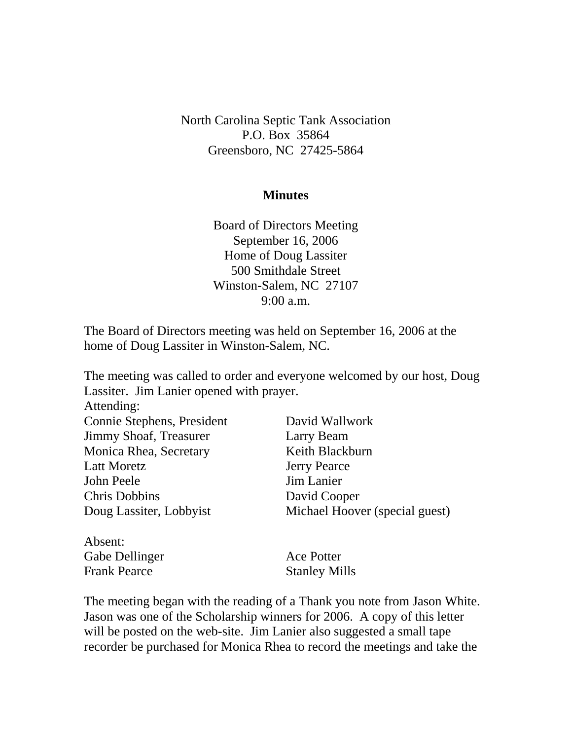North Carolina Septic Tank Association P.O. Box 35864 Greensboro, NC 27425-5864

## **Minutes**

Board of Directors Meeting September 16, 2006 Home of Doug Lassiter 500 Smithdale Street Winston-Salem, NC 27107 9:00 a.m.

The Board of Directors meeting was held on September 16, 2006 at the home of Doug Lassiter in Winston-Salem, NC.

The meeting was called to order and everyone welcomed by our host, Doug Lassiter. Jim Lanier opened with prayer. Attending: Connie Stephens, President David Wallwork Jimmy Shoaf, Treasurer Larry Beam Monica Rhea, Secretary Keith Blackburn Latt Moretz **Jerry Pearce** John Peele Jim Lanier Chris Dobbins David Cooper Doug Lassiter, Lobbyist Michael Hoover (special guest) Absent:

| Ace Potter           |
|----------------------|
| <b>Stanley Mills</b> |
|                      |

The meeting began with the reading of a Thank you note from Jason White. Jason was one of the Scholarship winners for 2006. A copy of this letter will be posted on the web-site. Jim Lanier also suggested a small tape recorder be purchased for Monica Rhea to record the meetings and take the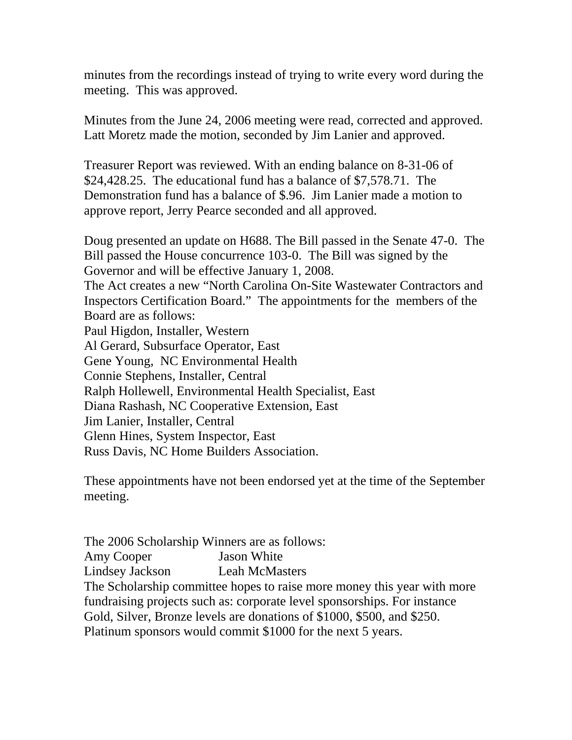minutes from the recordings instead of trying to write every word during the meeting. This was approved.

Minutes from the June 24, 2006 meeting were read, corrected and approved. Latt Moretz made the motion, seconded by Jim Lanier and approved.

Treasurer Report was reviewed. With an ending balance on 8-31-06 of \$24,428.25. The educational fund has a balance of \$7,578.71. The Demonstration fund has a balance of \$.96. Jim Lanier made a motion to approve report, Jerry Pearce seconded and all approved.

Doug presented an update on H688. The Bill passed in the Senate 47-0. The Bill passed the House concurrence 103-0. The Bill was signed by the Governor and will be effective January 1, 2008. The Act creates a new "North Carolina On-Site Wastewater Contractors and Inspectors Certification Board." The appointments for the members of the Board are as follows: Paul Higdon, Installer, Western Al Gerard, Subsurface Operator, East Gene Young, NC Environmental Health Connie Stephens, Installer, Central Ralph Hollewell, Environmental Health Specialist, East Diana Rashash, NC Cooperative Extension, East Jim Lanier, Installer, Central Glenn Hines, System Inspector, East Russ Davis, NC Home Builders Association.

These appointments have not been endorsed yet at the time of the September meeting.

The 2006 Scholarship Winners are as follows: Amy Cooper Jason White Lindsey Jackson Leah McMasters The Scholarship committee hopes to raise more money this year with more fundraising projects such as: corporate level sponsorships. For instance Gold, Silver, Bronze levels are donations of \$1000, \$500, and \$250. Platinum sponsors would commit \$1000 for the next 5 years.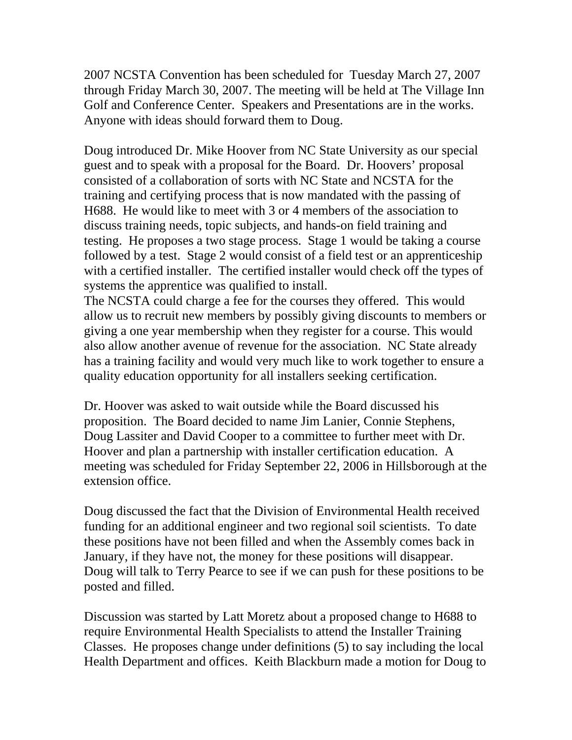2007 NCSTA Convention has been scheduled for Tuesday March 27, 2007 through Friday March 30, 2007. The meeting will be held at The Village Inn Golf and Conference Center. Speakers and Presentations are in the works. Anyone with ideas should forward them to Doug.

Doug introduced Dr. Mike Hoover from NC State University as our special guest and to speak with a proposal for the Board. Dr. Hoovers' proposal consisted of a collaboration of sorts with NC State and NCSTA for the training and certifying process that is now mandated with the passing of H688. He would like to meet with 3 or 4 members of the association to discuss training needs, topic subjects, and hands-on field training and testing. He proposes a two stage process. Stage 1 would be taking a course followed by a test. Stage 2 would consist of a field test or an apprenticeship with a certified installer. The certified installer would check off the types of systems the apprentice was qualified to install.

The NCSTA could charge a fee for the courses they offered. This would allow us to recruit new members by possibly giving discounts to members or giving a one year membership when they register for a course. This would also allow another avenue of revenue for the association. NC State already has a training facility and would very much like to work together to ensure a quality education opportunity for all installers seeking certification.

Dr. Hoover was asked to wait outside while the Board discussed his proposition. The Board decided to name Jim Lanier, Connie Stephens, Doug Lassiter and David Cooper to a committee to further meet with Dr. Hoover and plan a partnership with installer certification education. A meeting was scheduled for Friday September 22, 2006 in Hillsborough at the extension office.

Doug discussed the fact that the Division of Environmental Health received funding for an additional engineer and two regional soil scientists. To date these positions have not been filled and when the Assembly comes back in January, if they have not, the money for these positions will disappear. Doug will talk to Terry Pearce to see if we can push for these positions to be posted and filled.

Discussion was started by Latt Moretz about a proposed change to H688 to require Environmental Health Specialists to attend the Installer Training Classes. He proposes change under definitions (5) to say including the local Health Department and offices. Keith Blackburn made a motion for Doug to